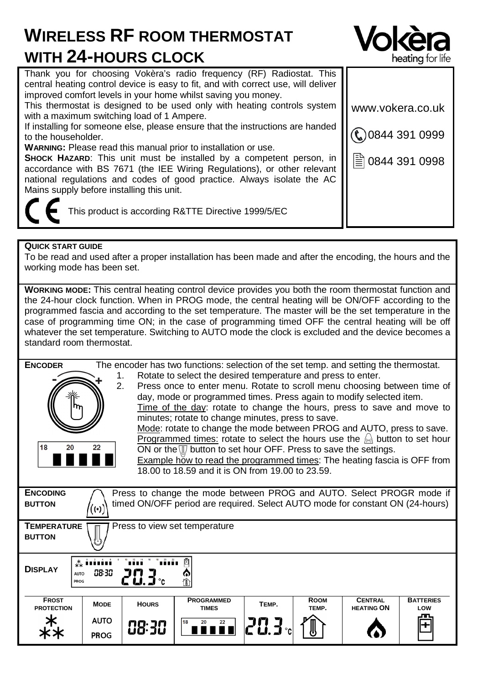# **WIRELESS RF ROOM THERMOSTAT WITH 24-HOURS CLOCK**



| Thank you for choosing Vokera's radio frequency (RF) Radiostat. This<br>central heating control device is easy to fit, and with correct use, will deliver                                                                                                             |                  |  |  |  |  |
|-----------------------------------------------------------------------------------------------------------------------------------------------------------------------------------------------------------------------------------------------------------------------|------------------|--|--|--|--|
| improved comfort levels in your home whilst saving you money.                                                                                                                                                                                                         |                  |  |  |  |  |
| This thermostat is designed to be used only with heating controls system<br>with a maximum switching load of 1 Ampere.                                                                                                                                                | www.vokera.co.uk |  |  |  |  |
| If installing for someone else, please ensure that the instructions are handed<br>to the householder.                                                                                                                                                                 | 0844 391 0999    |  |  |  |  |
| <b>WARNING:</b> Please read this manual prior to installation or use.                                                                                                                                                                                                 |                  |  |  |  |  |
| SHOCK HAZARD: This unit must be installed by a competent person, in<br>accordance with BS 7671 (the IEE Wiring Regulations), or other relevant<br>national regulations and codes of good practice. Always isolate the AC<br>Mains supply before installing this unit. | 图 0844 391 0998  |  |  |  |  |
|                                                                                                                                                                                                                                                                       |                  |  |  |  |  |
| This product is according R&TTE Directive 1999/5/EC                                                                                                                                                                                                                   |                  |  |  |  |  |

# **QUICK START GUIDE**

To be read and used after a proper installation has been made and after the encoding, the hours and the working mode has been set.

**WORKING MODE:** This central heating control device provides you both the room thermostat function and the 24-hour clock function. When in PROG mode, the central heating will be ON/OFF according to the programmed fascia and according to the set temperature. The master will be the set temperature in the case of programming time ON; in the case of programming timed OFF the central heating will be off whatever the set temperature. Switching to AUTO mode the clock is excluded and the device becomes a standard room thermostat.

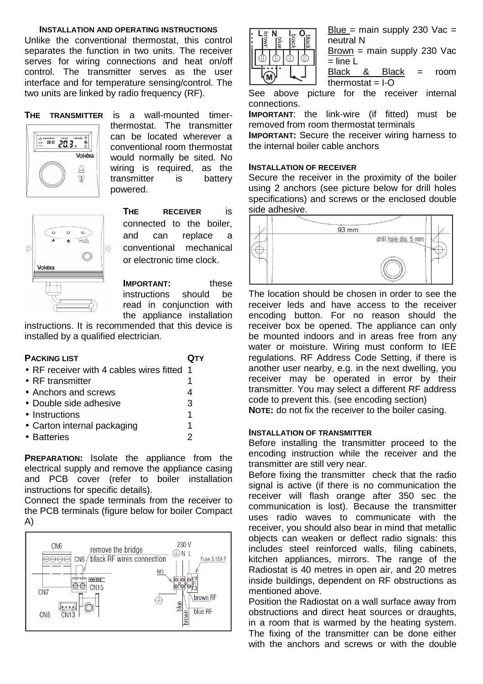#### **INSTALLATION AND OPERATING INSTRUCTIONS**

Unlike the conventional thermostat, this control separates the function in two units. The receiver serves for wiring connections and heat on/off control. The transmitter serves as the user interface and for temperature sensing/control. The two units are linked by radio frequency (RF).



**THE TRANSMITTER** is a wall-mounted timerthermostat. The transmitter can be located wherever a conventional room thermostat would normally be sited. No wiring is required, as the transmitter is battery powered.

| 6 | $\circ$<br>⊋<br>Vokèra | ō<br>۵ | $\circ$<br>$\overline{\langle \bullet \rangle}/\triangle$ | O |
|---|------------------------|--------|-----------------------------------------------------------|---|
|   |                        |        |                                                           |   |

**THE RECEIVER** is connected to the boiler, and can replace a conventional mechanical or electronic time clock.

**IMPORTANT:** these instructions should be read in conjunction with the appliance installation

instructions. It is recommended that this device is installed by a qualified electrician.

| <b>PACKING LIST</b>                        |   |
|--------------------------------------------|---|
| • RF receiver with 4 cables wires fitted 1 |   |
| $\bullet$ RF transmitter                   |   |
| • Anchors and screws                       |   |
| • Double side adhesive                     | 3 |
| • Instructions                             | 1 |
| • Carton internal packaging                | 1 |
| • Batteries                                | 2 |

**PREPARATION:** Isolate the appliance from the electrical supply and remove the appliance casing and PCB cover (refer to boiler installation instructions for specific details).

Connect the spade terminals from the receiver to the PCB terminals (figure below for boiler Compact A)





Blue = main supply 230  $\sqrt{ac}$  = neutral N

Brown = main supply 230 Vac  $=$  line L

Black & Black = room  $t$ hermostat =  $I-O$ 

See above picture for the receiver internal connections.

**IMPORTANT**: the link-wire (if fitted) must be removed from room thermostat terminals

**IMPORTANT:** Secure the receiver wiring harness to the internal boiler cable anchors

### **INSTALLATION OF RECEIVER**

Secure the receiver in the proximity of the boiler using 2 anchors (see picture below for drill holes specifications) and screws or the enclosed double side adhesive.



The location should be chosen in order to see the receiver leds and have access to the receiver encoding button. For no reason should the receiver box be opened. The appliance can only be mounted indoors and in areas free from any water or moisture. Wiring must conform to IEE regulations. RF Address Code Setting, if there is another user nearby, e.g. in the next dwelling, you receiver may be operated in error by their transmitter. You may select a different RF address code to prevent this. (see encoding section)

**NOTE:** do not fix the receiver to the boiler casing.

#### **INSTALLATION OF TRANSMITTER**

Before installing the transmitter proceed to the encoding instruction while the receiver and the transmitter are still very near.

Before fixing the transmitter check that the radio signal is active (if there is no communication the receiver will flash orange after 350 sec the communication is lost). Because the transmitter uses radio waves to communicate with the receiver, you should also bear in mind that metallic objects can weaken or deflect radio signals: this includes steel reinforced walls, filing cabinets, kitchen appliances, mirrors. The range of the Radiostat is 40 metres in open air, and 20 metres inside buildings, dependent on RF obstructions as mentioned above.

Position the Radiostat on a wall surface away from obstructions and direct heat sources or draughts, in a room that is warmed by the heating system. The fixing of the transmitter can be done either with the anchors and screws or with the double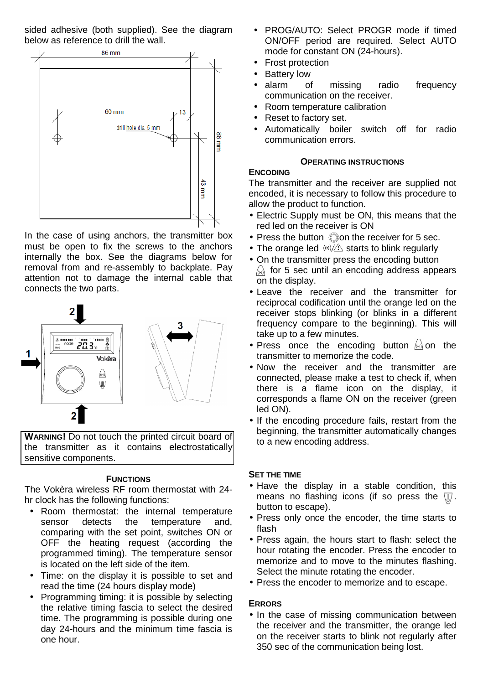sided adhesive (both supplied). See the diagram below as reference to drill the wall.



In the case of using anchors, the transmitter box must be open to fix the screws to the anchors internally the box. See the diagrams below for removal from and re-assembly to backplate. Pay attention not to damage the internal cable that connects the two parts.



**WARNING!** Do not touch the printed circuit board of the transmitter as it contains electrostatically sensitive components.

## **FUNCTIONS**

The Vokèra wireless RF room thermostat with 24 hr clock has the following functions:

- Room thermostat: the internal temperature sensor detects the temperature and, comparing with the set point, switches ON or OFF the heating request (according the programmed timing). The temperature sensor is located on the left side of the item.
- Time: on the display it is possible to set and read the time (24 hours display mode)
- Programming timing: it is possible by selecting the relative timing fascia to select the desired time. The programming is possible during one day 24-hours and the minimum time fascia is one hour.
- PROG/AUTO: Select PROGR mode if timed ON/OFF period are required. Select AUTO mode for constant ON (24-hours).
- Frost protection
- Battery low
- alarm of missing radio frequency communication on the receiver.
- Room temperature calibration
- Reset to factory set.
- Automatically boiler switch off for radio communication errors.

# **OPERATING INSTRUCTIONS**

# **ENCODING**

The transmitter and the receiver are supplied not encoded, it is necessary to follow this procedure to allow the product to function.

- Electric Supply must be ON, this means that the red led on the receiver is ON
- $\bullet$  Press the button  $\oslash$  on the receiver for 5 sec.
- The orange led  $\langle \omega \rangle / \sqrt{\hat{\Omega}}$  starts to blink regularly
- On the transmitter press the encoding button  $\sqrt{a}$  for 5 sec until an encoding address appears on the display.
- Leave the receiver and the transmitter for reciprocal codification until the orange led on the receiver stops blinking (or blinks in a different frequency compare to the beginning). This will take up to a few minutes.
- Press once the encoding button  $\omega$  on the transmitter to memorize the code.
- Now the receiver and the transmitter are connected, please make a test to check if, when there is a flame icon on the display, it corresponds a flame ON on the receiver (green led ON).
- If the encoding procedure fails, restart from the beginning, the transmitter automatically changes to a new encoding address.

# **SET THE TIME**

- Have the display in a stable condition, this means no flashing icons (if so press the  $\mathbb{U}$ . button to escape).
- Press only once the encoder, the time starts to flash
- Press again, the hours start to flash: select the hour rotating the encoder. Press the encoder to memorize and to move to the minutes flashing. Select the minute rotating the encoder.
- Press the encoder to memorize and to escape.

# **ERRORS**

• In the case of missing communication between the receiver and the transmitter, the orange led on the receiver starts to blink not regularly after 350 sec of the communication being lost.